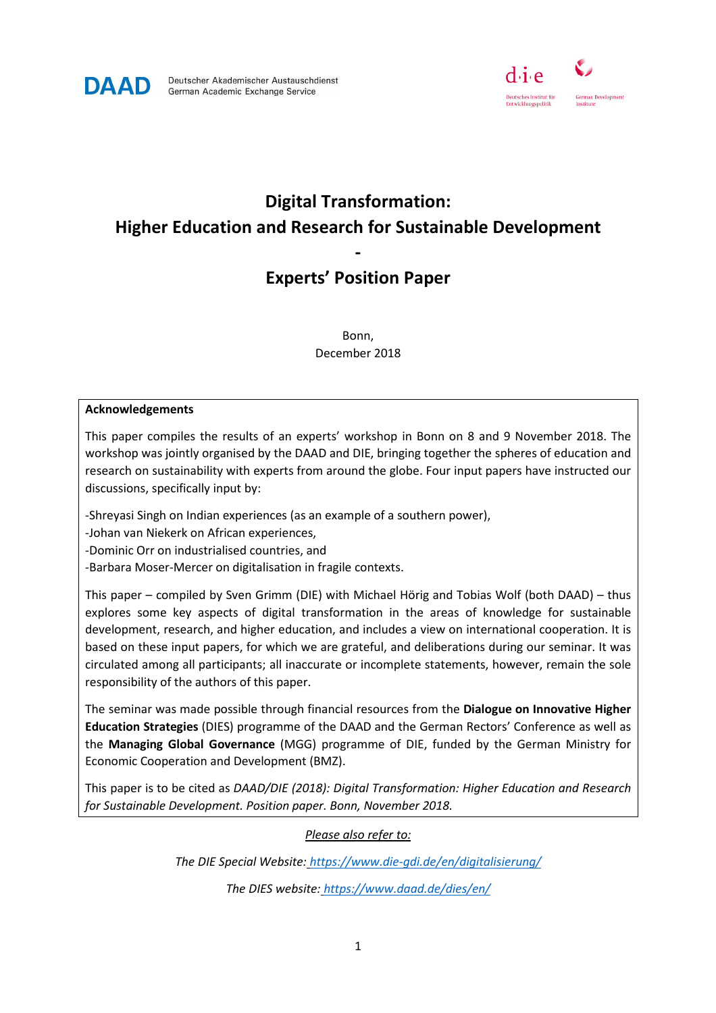



# **Digital Transformation: Higher Education and Research for Sustainable Development**

## **Experts' Position Paper**

**-** 

Bonn, December 2018

#### **Acknowledgements**

This paper compiles the results of an experts' workshop in Bonn on 8 and 9 November 2018. The workshop was jointly organised by the DAAD and DIE, bringing together the spheres of education and research on sustainability with experts from around the globe. Four input papers have instructed our discussions, specifically input by:

-Shreyasi Singh on Indian experiences (as an example of a southern power),

-Johan van Niekerk on African experiences,

-Dominic Orr on industrialised countries, and

-Barbara Moser-Mercer on digitalisation in fragile contexts.

This paper – compiled by Sven Grimm (DIE) with Michael Hörig and Tobias Wolf (both DAAD) – thus explores some key aspects of digital transformation in the areas of knowledge for sustainable development, research, and higher education, and includes a view on international cooperation. It is based on these input papers, for which we are grateful, and deliberations during our seminar. It was circulated among all participants; all inaccurate or incomplete statements, however, remain the sole responsibility of the authors of this paper.

The seminar was made possible through financial resources from the **Dialogue on Innovative Higher Education Strategies** (DIES) programme of the DAAD and the German Rectors' Conference as well as the **Managing Global Governance** (MGG) programme of DIE, funded by the German Ministry for Economic Cooperation and Development (BMZ).

This paper is to be cited as *DAAD/DIE (2018): Digital Transformation: Higher Education and Research for Sustainable Development. Position paper. Bonn, November 2018.*

#### *Please also refer to:*

*The DIE Special Website: https://www.die-gdi.de/en/digitalisierung/ The DIES website: https://www.daad.de/dies/en/*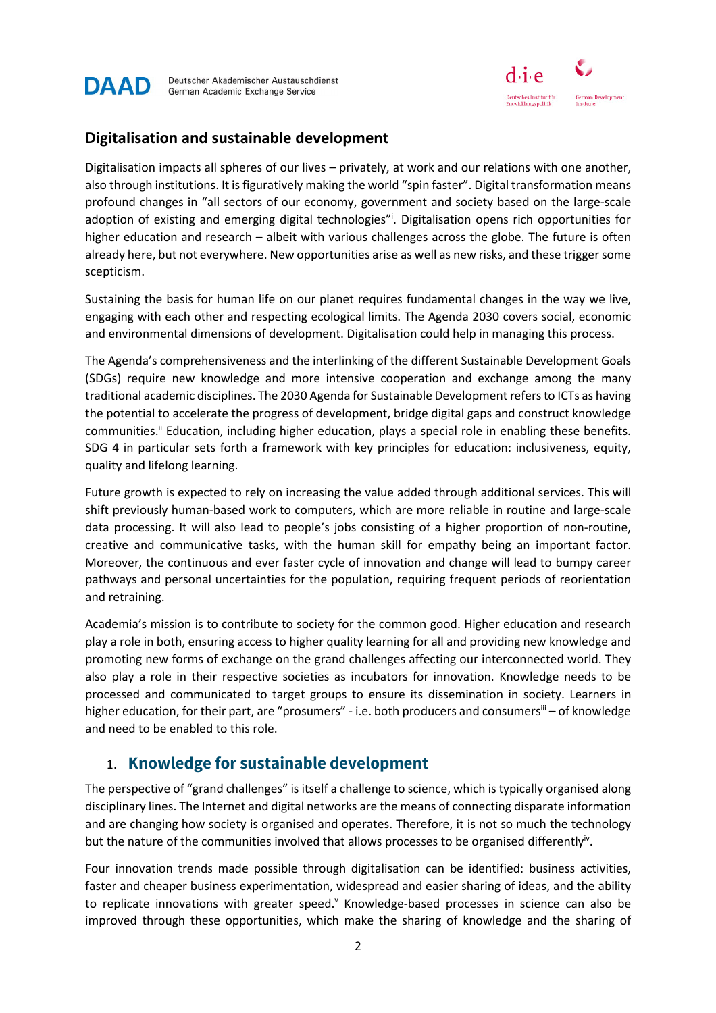



#### **Digitalisation and sustainable development**

Digitalisation impacts all spheres of our lives – privately, at work and our relations with one another, also through institutions. It is figuratively making the world "spin faster". Digital transformation means profound changes in "all sectors of our economy, government and society based on the large-scale adoption of existing and emerging digital technologies"<sup>i</sup>. Digitalisation opens rich opportunities for higher education and research – albeit with various challenges across the globe. The future is often already here, but not everywhere. New opportunities arise as well as new risks, and these trigger some scepticism.

Sustaining the basis for human life on our planet requires fundamental changes in the way we live, engaging with each other and respecting ecological limits. The Agenda 2030 covers social, economic and environmental dimensions of development. Digitalisation could help in managing this process.

The Agenda's comprehensiveness and the interlinking of the different Sustainable Development Goals (SDGs) require new knowledge and more intensive cooperation and exchange among the many traditional academic disciplines. The 2030 Agenda for Sustainable Development refers to ICTs as having the potential to accelerate the progress of development, bridge digital gaps and construct knowledge communities.<sup>ii</sup> Education, including higher education, plays a special role in enabling these benefits. SDG 4 in particular sets forth a framework with key principles for education: inclusiveness, equity, quality and lifelong learning.

Future growth is expected to rely on increasing the value added through additional services. This will shift previously human-based work to computers, which are more reliable in routine and large-scale data processing. It will also lead to people's jobs consisting of a higher proportion of non-routine, creative and communicative tasks, with the human skill for empathy being an important factor. Moreover, the continuous and ever faster cycle of innovation and change will lead to bumpy career pathways and personal uncertainties for the population, requiring frequent periods of reorientation and retraining.

Academia's mission is to contribute to society for the common good. Higher education and research play a role in both, ensuring access to higher quality learning for all and providing new knowledge and promoting new forms of exchange on the grand challenges affecting our interconnected world. They also play a role in their respective societies as incubators for innovation. Knowledge needs to be processed and communicated to target groups to ensure its dissemination in society. Learners in higher education, for their part, are "prosumers" - i.e. both producers and consumers<sup>iii</sup> – of knowledge and need to be enabled to this role.

#### 1. **Knowledge for sustainable development**

The perspective of "grand challenges" is itself a challenge to science, which is typically organised along disciplinary lines. The Internet and digital networks are the means of connecting disparate information and are changing how society is organised and operates. Therefore, it is not so much the technology but the nature of the communities involved that allows processes to be organised differentlyiv.

Four innovation trends made possible through digitalisation can be identified: business activities, faster and cheaper business experimentation, widespread and easier sharing of ideas, and the ability to replicate innovations with greater speed.<sup>v</sup> Knowledge-based processes in science can also be improved through these opportunities, which make the sharing of knowledge and the sharing of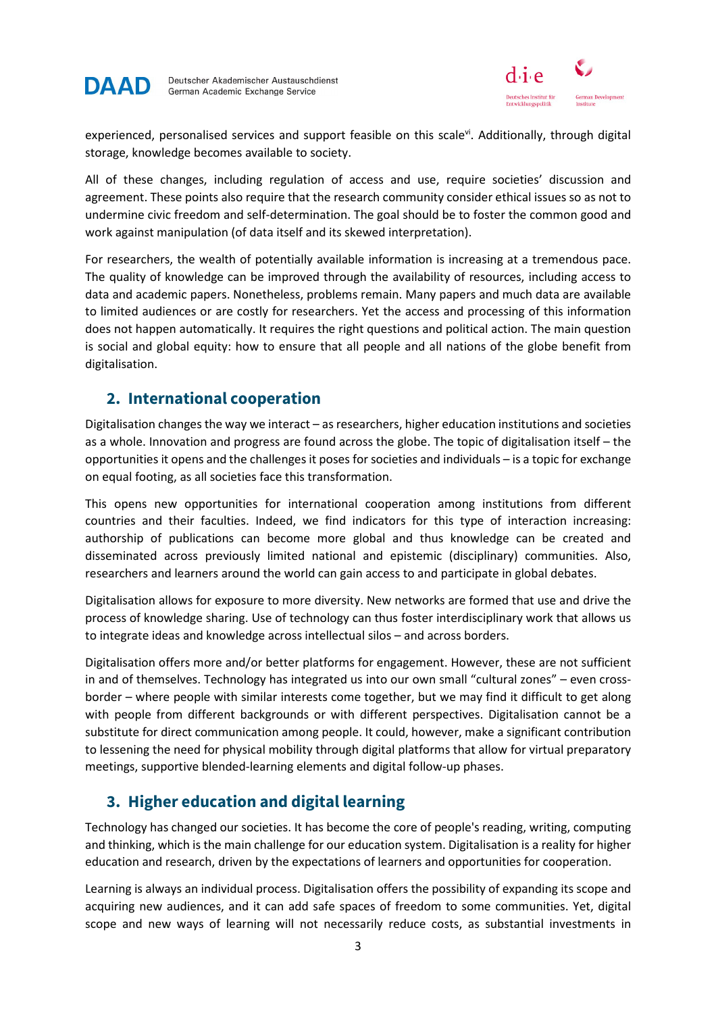



experienced, personalised services and support feasible on this scale<sup>vi</sup>. Additionally, through digital storage, knowledge becomes available to society.

All of these changes, including regulation of access and use, require societies' discussion and agreement. These points also require that the research community consider ethical issues so as not to undermine civic freedom and self-determination. The goal should be to foster the common good and work against manipulation (of data itself and its skewed interpretation).

For researchers, the wealth of potentially available information is increasing at a tremendous pace. The quality of knowledge can be improved through the availability of resources, including access to data and academic papers. Nonetheless, problems remain. Many papers and much data are available to limited audiences or are costly for researchers. Yet the access and processing of this information does not happen automatically. It requires the right questions and political action. The main question is social and global equity: how to ensure that all people and all nations of the globe benefit from digitalisation.

### **2. International cooperation**

Digitalisation changes the way we interact – as researchers, higher education institutions and societies as a whole. Innovation and progress are found across the globe. The topic of digitalisation itself – the opportunities it opens and the challenges it poses for societies and individuals – is a topic for exchange on equal footing, as all societies face this transformation.

This opens new opportunities for international cooperation among institutions from different countries and their faculties. Indeed, we find indicators for this type of interaction increasing: authorship of publications can become more global and thus knowledge can be created and disseminated across previously limited national and epistemic (disciplinary) communities. Also, researchers and learners around the world can gain access to and participate in global debates.

Digitalisation allows for exposure to more diversity. New networks are formed that use and drive the process of knowledge sharing. Use of technology can thus foster interdisciplinary work that allows us to integrate ideas and knowledge across intellectual silos – and across borders.

Digitalisation offers more and/or better platforms for engagement. However, these are not sufficient in and of themselves. Technology has integrated us into our own small "cultural zones" – even crossborder – where people with similar interests come together, but we may find it difficult to get along with people from different backgrounds or with different perspectives. Digitalisation cannot be a substitute for direct communication among people. It could, however, make a significant contribution to lessening the need for physical mobility through digital platforms that allow for virtual preparatory meetings, supportive blended-learning elements and digital follow-up phases.

## **3. Higher education and digital learning**

Technology has changed our societies. It has become the core of people's reading, writing, computing and thinking, which is the main challenge for our education system. Digitalisation is a reality for higher education and research, driven by the expectations of learners and opportunities for cooperation.

Learning is always an individual process. Digitalisation offers the possibility of expanding its scope and acquiring new audiences, and it can add safe spaces of freedom to some communities. Yet, digital scope and new ways of learning will not necessarily reduce costs, as substantial investments in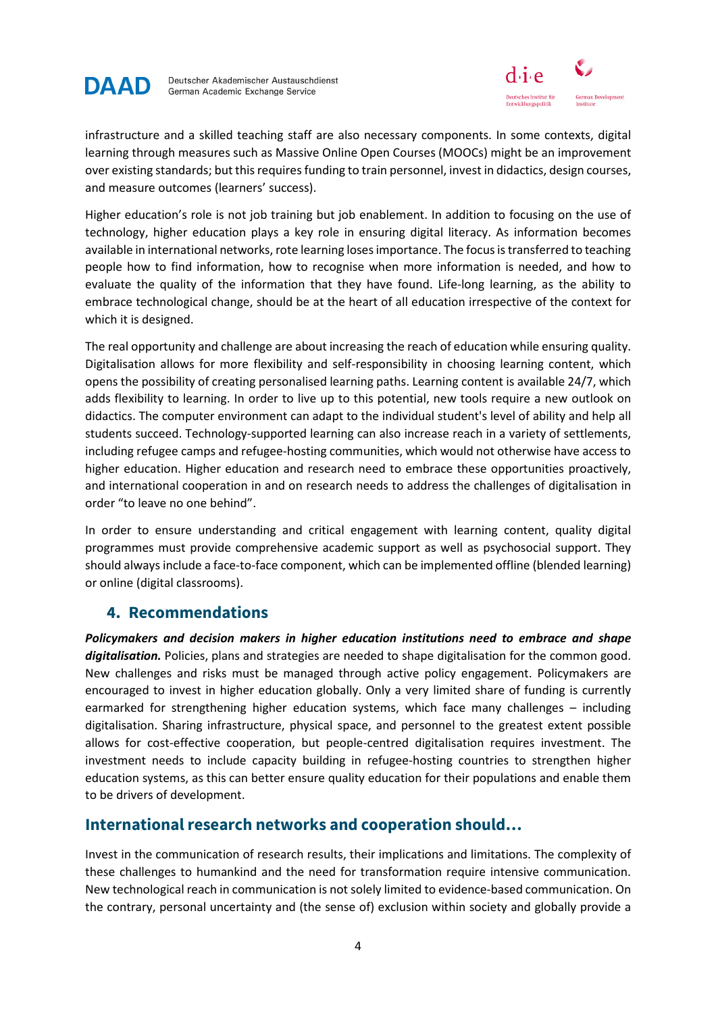



infrastructure and a skilled teaching staff are also necessary components. In some contexts, digital learning through measures such as Massive Online Open Courses (MOOCs) might be an improvement over existing standards; but this requires funding to train personnel, invest in didactics, design courses, and measure outcomes (learners' success).

Higher education's role is not job training but job enablement. In addition to focusing on the use of technology, higher education plays a key role in ensuring digital literacy. As information becomes available in international networks, rote learning loses importance. The focus is transferred to teaching people how to find information, how to recognise when more information is needed, and how to evaluate the quality of the information that they have found. Life-long learning, as the ability to embrace technological change, should be at the heart of all education irrespective of the context for which it is designed.

The real opportunity and challenge are about increasing the reach of education while ensuring quality. Digitalisation allows for more flexibility and self-responsibility in choosing learning content, which opens the possibility of creating personalised learning paths. Learning content is available 24/7, which adds flexibility to learning. In order to live up to this potential, new tools require a new outlook on didactics. The computer environment can adapt to the individual student's level of ability and help all students succeed. Technology-supported learning can also increase reach in a variety of settlements, including refugee camps and refugee-hosting communities, which would not otherwise have access to higher education. Higher education and research need to embrace these opportunities proactively, and international cooperation in and on research needs to address the challenges of digitalisation in order "to leave no one behind".

In order to ensure understanding and critical engagement with learning content, quality digital programmes must provide comprehensive academic support as well as psychosocial support. They should always include a face-to-face component, which can be implemented offline (blended learning) or online (digital classrooms).

#### **4. Recommendations**

*Policymakers and decision makers in higher education institutions need to embrace and shape*  digitalisation. Policies, plans and strategies are needed to shape digitalisation for the common good. New challenges and risks must be managed through active policy engagement. Policymakers are encouraged to invest in higher education globally. Only a very limited share of funding is currently earmarked for strengthening higher education systems, which face many challenges – including digitalisation. Sharing infrastructure, physical space, and personnel to the greatest extent possible allows for cost-effective cooperation, but people-centred digitalisation requires investment. The investment needs to include capacity building in refugee-hosting countries to strengthen higher education systems, as this can better ensure quality education for their populations and enable them to be drivers of development.

#### **International research networks and cooperation should…**

Invest in the communication of research results, their implications and limitations. The complexity of these challenges to humankind and the need for transformation require intensive communication. New technological reach in communication is not solely limited to evidence-based communication. On the contrary, personal uncertainty and (the sense of) exclusion within society and globally provide a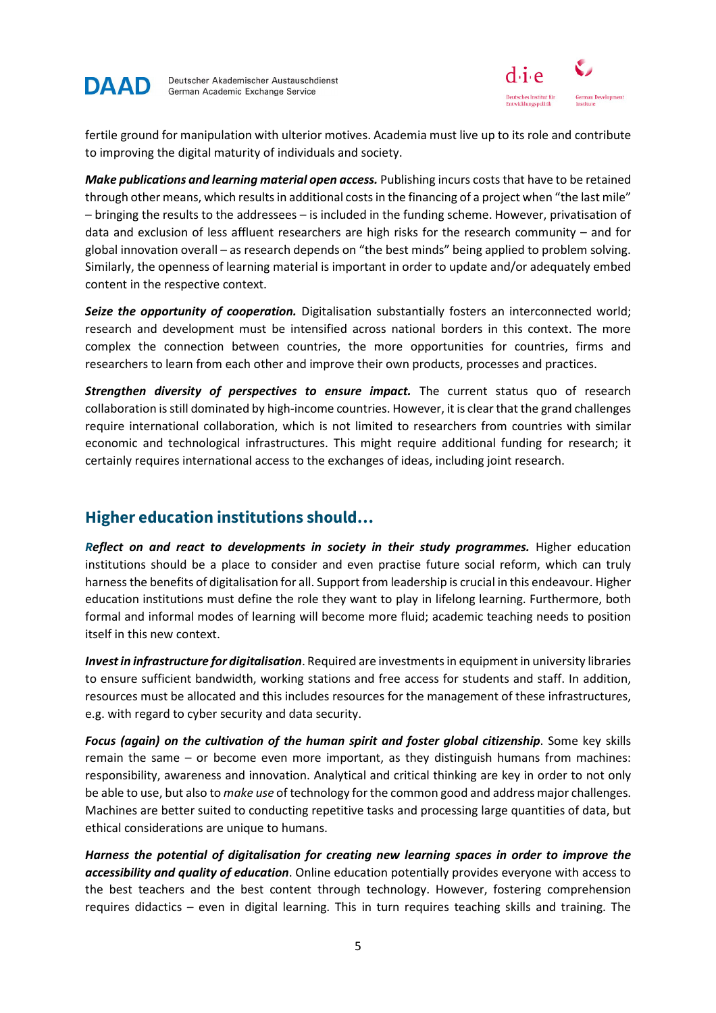



fertile ground for manipulation with ulterior motives. Academia must live up to its role and contribute to improving the digital maturity of individuals and society.

*Make publications and learning material open access.* Publishing incurs costs that have to be retained through other means, which results in additional costs in the financing of a project when "the last mile" – bringing the results to the addressees – is included in the funding scheme. However, privatisation of data and exclusion of less affluent researchers are high risks for the research community – and for global innovation overall – as research depends on "the best minds" being applied to problem solving. Similarly, the openness of learning material is important in order to update and/or adequately embed content in the respective context.

*Seize the opportunity of cooperation.* Digitalisation substantially fosters an interconnected world; research and development must be intensified across national borders in this context. The more complex the connection between countries, the more opportunities for countries, firms and researchers to learn from each other and improve their own products, processes and practices.

*Strengthen diversity of perspectives to ensure impact.* The current status quo of research collaboration is still dominated by high-income countries. However, it is clear that the grand challenges require international collaboration, which is not limited to researchers from countries with similar economic and technological infrastructures. This might require additional funding for research; it certainly requires international access to the exchanges of ideas, including joint research.

### **Higher education institutions should…**

*Reflect on and react to developments in society in their study programmes.* Higher education institutions should be a place to consider and even practise future social reform, which can truly harness the benefits of digitalisation for all. Support from leadership is crucial in this endeavour. Higher education institutions must define the role they want to play in lifelong learning. Furthermore, both formal and informal modes of learning will become more fluid; academic teaching needs to position itself in this new context.

*Invest in infrastructure for digitalisation*. Required are investments in equipment in university libraries to ensure sufficient bandwidth, working stations and free access for students and staff. In addition, resources must be allocated and this includes resources for the management of these infrastructures, e.g. with regard to cyber security and data security.

Focus (again) on the cultivation of the human spirit and foster global citizenship. Some key skills remain the same – or become even more important, as they distinguish humans from machines: responsibility, awareness and innovation. Analytical and critical thinking are key in order to not only be able to use, but also to *make use* of technology for the common good and address major challenges. Machines are better suited to conducting repetitive tasks and processing large quantities of data, but ethical considerations are unique to humans.

*Harness the potential of digitalisation for creating new learning spaces in order to improve the accessibility and quality of education*. Online education potentially provides everyone with access to the best teachers and the best content through technology. However, fostering comprehension requires didactics – even in digital learning. This in turn requires teaching skills and training. The